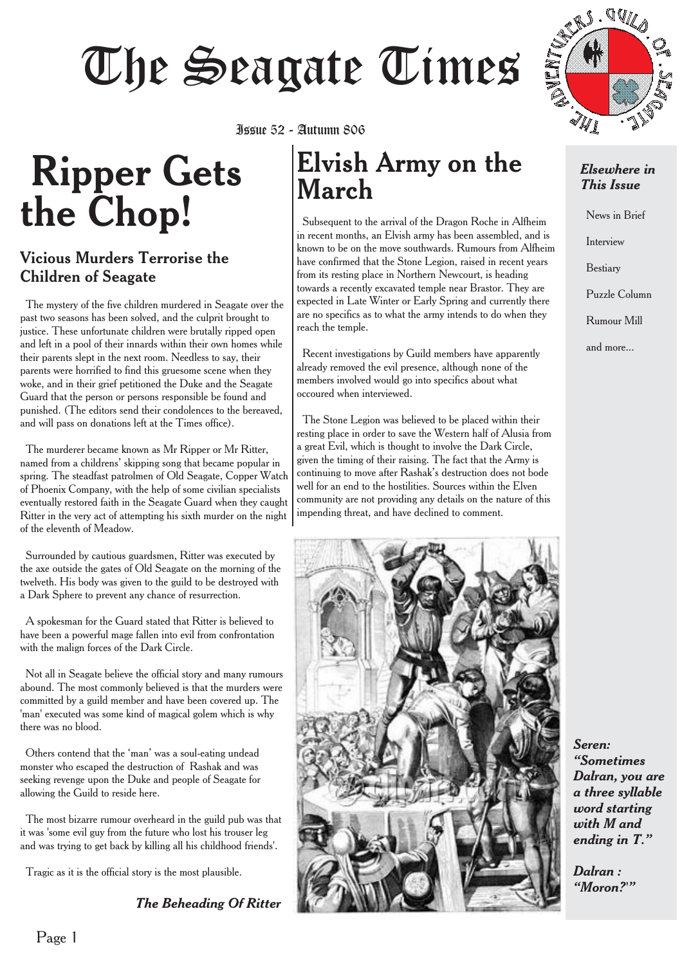# The Sea Fourtheast Sea<br>1988 - Autumn 806

# **Ripper Gets the Chop!**

#### Vicious Murders Terrorise the Children of Seagate

The mystery of the five children murdered in Seagate over the past two seasons has been solved, and the culprit brought to justice. These unfortunate children were brutally ripped open and left in a pool of their innards within their own homes while their parents slept in the next room. Needless to say, their parents were horrified to find this gruesome scene when they woke, and in their grief petitioned the Duke and the Seagate Guard that the person or persons responsible be found and punished. (The editors send their condolences to the bereaved, and will pass on donations left at the Times office).

The murderer became known as Mr Ripper or Mr Ritter, named from a childrens' skipping song that became popular in spring. The steadfast patrolmen of Old Seagate, Copper Watch of Phoenix Company, with the help of some civilian specialists eventually restored faith in the Seagate Guard when they caught Ritter in the very act of attempting his sixth murder on the night of the eleventh of Meadow.

Surrounded by cautious guardsmen, Ritter was executed by the axe outside the gates of Old Seagate on the morning of the twelveth. His body was given to the guild to be destroyed with a Dark Sphere to prevent any chance of resurrection.

A spokesman for the Guard stated that Ritter is believed to have been a powerful mage fallen into evil from confrontation with the malign forces of the Dark Circle.

Not all in Seagate believe the official story and many rumours abound. The most commonly believed is that the murders were committed by a guild member and have been covered up. The 'man' executed was some kind of magical golem which is why there was no blood.

Others contend that the 'man' was a soul-eating undead monster who escaped the destruction of Rashak and was seeking revenge upon the Duke and people of Seagate for allowing the Guild to reside here.

The most bizarre rumour overheard in the guild pub was that it was 'some evil guy from the future who lost his trouser leg and was trying to get back by killing all his childhood friends'.

Tragic as it is the official story is the most plausible.

*The Beheading Of Ritter*

## **Elvish Army on the March** Issue 52 - Autumn 806

Subsequent to the arrival of the Dragon Roche in Alfheim in recent months, an Elvish army has been assembled, and is known to be on the move southwards. Rumours from Alfheim have confirmed that the Stone Legion, raised in recent years from its resting place in Northern Newcourt, is heading towards a recently excavated temple near Brastor. They are expected in Late Winter or Early Spring and currently there are no specifics as to what the army intends to do when they reach the temple.

Recent investigations by Guild members have apparently already removed the evil presence, although none of the members involved would go into specifics about what occoured when interviewed.

The Stone Legion was believed to be placed within their resting place in order to save the Western half of Alusia from a great Evil, which is thought to involve the Dark Circle, given the timing of their raising. The fact that the Army is continuing to move after Rashak's destruction does not bode well for an end to the hostilities. Sources within the Elven community are not providing any details on the nature of this impending threat, and have declined to comment.





#### *Elsewhere in This Issue*

News in Brief Interview Bestiary Puzzle Column Rumour Mill and more...

*Seren: "Sometimes Dalran, you are a three syllable word starting with M and ending in T."*

*Dalran : "Moron?'"*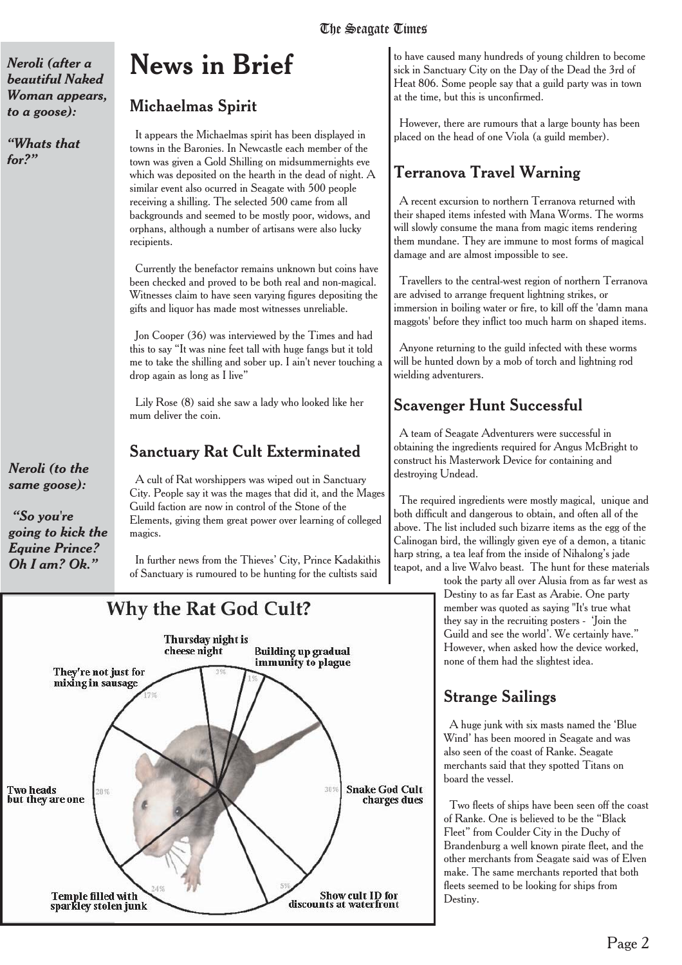*Neroli (after a beautiful Naked Woman appears, to a goose):*

*"Whats that for?"*

#### *Neroli (to the same goose):*

*"So you're going to kick the Equine Prince? Oh I am? Ok."*

# **News in Brief**

Michaelmas Spirit

It appears the Michaelmas spirit has been displayed in towns in the Baronies. In Newcastle each member of the town was given a Gold Shilling on midsummernights eve which was deposited on the hearth in the dead of night. A similar event also ocurred in Seagate with 500 people receiving a shilling. The selected 500 came from all backgrounds and seemed to be mostly poor, widows, and orphans, although a number of artisans were also lucky recipients.

Currently the benefactor remains unknown but coins have been checked and proved to be both real and non-magical. Witnesses claim to have seen varying figures depositing the gifts and liquor has made most witnesses unreliable.

Jon Cooper (36) was interviewed by the Times and had this to say "It was nine feet tall with huge fangs but it told me to take the shilling and sober up. I ain't never touching a drop again as long as I live"

Lily Rose (8) said she saw a lady who looked like her mum deliver the coin.

## Sanctuary Rat Cult Exterminated

A cult of Rat worshippers was wiped out in Sanctuary City. People say it was the mages that did it, and the Mages Guild faction are now in control of the Stone of the Elements, giving them great power over learning of colleged magics.

In further news from the Thieves' City, Prince Kadakithis of Sanctuary is rumoured to be hunting for the cultists said

## **Why the Rat God Cult?**



to have caused many hundreds of young children to become sick in Sanctuary City on the Day of the Dead the 3rd of Heat 806. Some people say that a guild party was in town at the time, but this is unconfirmed.

However, there are rumours that a large bounty has been placed on the head of one Viola (a guild member).

## Terranova Travel Warning

A recent excursion to northern Terranova returned with their shaped items infested with Mana Worms. The worms will slowly consume the mana from magic items rendering them mundane. They are immune to most forms of magical damage and are almost impossible to see.

Travellers to the central-west region of northern Terranova are advised to arrange frequent lightning strikes, or immersion in boiling water or fire, to kill off the 'damn mana maggots' before they inflict too much harm on shaped items.

Anyone returning to the guild infected with these worms will be hunted down by a mob of torch and lightning rod wielding adventurers.

## Scavenger Hunt Successful

A team of Seagate Adventurers were successful in obtaining the ingredients required for Angus McBright to construct his Masterwork Device for containing and destroying Undead.

The required ingredients were mostly magical, unique and both difficult and dangerous to obtain, and often all of the above. The list included such bizarre items as the egg of the Calinogan bird, the willingly given eye of a demon, a titanic harp string, a tea leaf from the inside of Nihalong's jade teapot, and a live Walvo beast. The hunt for these materials

took the party all over Alusia from as far west as Destiny to as far East as Arabie. One party member was quoted as saying "It's true what they say in the recruiting posters - 'Join the Guild and see the world'. We certainly have." However, when asked how the device worked, none of them had the slightest idea.

## Strange Sailings

A huge junk with six masts named the 'Blue Wind' has been moored in Seagate and was also seen of the coast of Ranke. Seagate merchants said that they spotted Titans on board the vessel.

Two fleets of ships have been seen off the coast of Ranke. One is believed to be the "Black Fleet" from Coulder City in the Duchy of Brandenburg a well known pirate fleet, and the other merchants from Seagate said was of Elven make. The same merchants reported that both fleets seemed to be looking for ships from Destiny.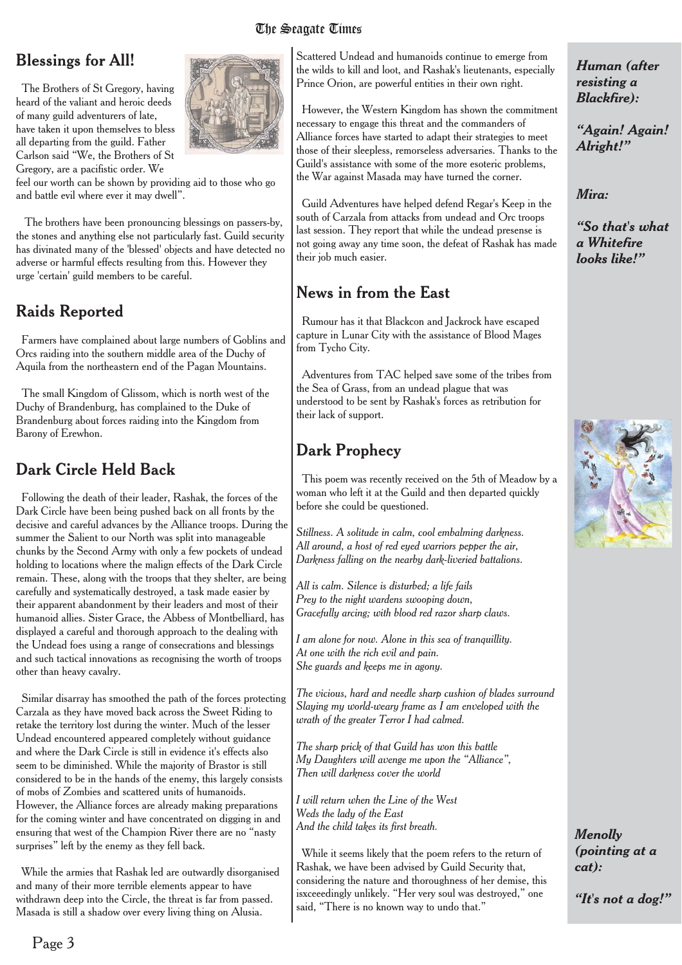#### Blessings for All!

The Brothers of St Gregory, having heard of the valiant and heroic deeds of many guild adventurers of late, have taken it upon themselves to bless all departing from the guild. Father Carlson said "We, the Brothers of St Gregory, are a pacifistic order. We

feel our worth can be shown by providing aid to those who go and battle evil where ever it may dwell".

The brothers have been pronouncing blessings on passers-by, the stones and anything else not particularly fast. Guild security has divinated many of the 'blessed' objects and have detected no adverse or harmful effects resulting from this. However they urge 'certain' guild members to be careful.

#### Raids Reported

Farmers have complained about large numbers of Goblins and Orcs raiding into the southern middle area of the Duchy of Aquila from the northeastern end of the Pagan Mountains.

The small Kingdom of Glissom, which is north west of the Duchy of Brandenburg, has complained to the Duke of Brandenburg about forces raiding into the Kingdom from Barony of Erewhon.

#### Dark Circle Held Back

Following the death of their leader, Rashak, the forces of the Dark Circle have been being pushed back on all fronts by the decisive and careful advances by the Alliance troops. During the summer the Salient to our North was split into manageable chunks by the Second Army with only a few pockets of undead holding to locations where the malign effects of the Dark Circle remain. These, along with the troops that they shelter, are being carefully and systematically destroyed, a task made easier by their apparent abandonment by their leaders and most of their humanoid allies. Sister Grace, the Abbess of Montbelliard, has displayed a careful and thorough approach to the dealing with the Undead foes using a range of consecrations and blessings and such tactical innovations as recognising the worth of troops other than heavy cavalry.

Similar disarray has smoothed the path of the forces protecting Carzala as they have moved back across the Sweet Riding to retake the territory lost during the winter. Much of the lesser Undead encountered appeared completely without guidance and where the Dark Circle is still in evidence it's effects also seem to be diminished. While the majority of Brastor is still considered to be in the hands of the enemy, this largely consists of mobs of Zombies and scattered units of humanoids. However, the Alliance forces are already making preparations for the coming winter and have concentrated on digging in and ensuring that west of the Champion River there are no "nasty surprises" left by the enemy as they fell back.

While the armies that Rashak led are outwardly disorganised and many of their more terrible elements appear to have withdrawn deep into the Circle, the threat is far from passed. Masada is still a shadow over every living thing on Alusia.

Scattered Undead and humanoids continue to emerge from the wilds to kill and loot, and Rashak's lieutenants, especially Prince Orion, are powerful entities in their own right.

However, the Western Kingdom has shown the commitment necessary to engage this threat and the commanders of Alliance forces have started to adapt their strategies to meet those of their sleepless, remorseless adversaries. Thanks to the Guild's assistance with some of the more esoteric problems, the War against Masada may have turned the corner.

Guild Adventures have helped defend Regar's Keep in the south of Carzala from attacks from undead and Orc troops last session. They report that while the undead presense is not going away any time soon, the defeat of Rashak has made their job much easier.

#### News in from the East

Rumour has it that Blackcon and Jackrock have escaped capture in Lunar City with the assistance of Blood Mages from Tycho City.

Adventures from TAC helped save some of the tribes from the Sea of Grass, from an undead plague that was understood to be sent by Rashak's forces as retribution for their lack of support.

## Dark Prophecy

This poem was recently received on the 5th of Meadow by a woman who left it at the Guild and then departed quickly before she could be questioned.

*Stillness. A solitude in calm, cool embalming darkness. All around, a host of red eyed warriors pepper the air, Darkness falling on the nearby dark-liveried battalions.*

*All is calm. Silence is disturbed; a life fails Prey to the night wardens swooping down, Gracefully arcing; with blood red razor sharp claws.*

*I am alone for now. Alone in this sea of tranquillity. At one with the rich evil and pain. She guards and keeps me in agony.*

*The vicious, hard and needle sharp cushion of blades surround Slaying my world-weary frame as I am enveloped with the wrath of the greater Terror I had calmed.*

*The sharp prick of that Guild has won this battle My Daughters will avenge me upon the "Alliance", Then will darkness cover the world*

*I will return when the Line of the West Weds the lady of the East And the child takes its first breath.*

While it seems likely that the poem refers to the return of Rashak, we have been advised by Guild Security that, considering the nature and thoroughness of her demise, this isxceeedingly unlikely. "Her very soul was destroyed," one said, "There is no known way to undo that."

*Human (after resisting a Blackfire):*

*"Again! Again! Alright!"*

*Mira:*

*"So that's what a Whitefire looks like!"*





*"It's not a dog!"*

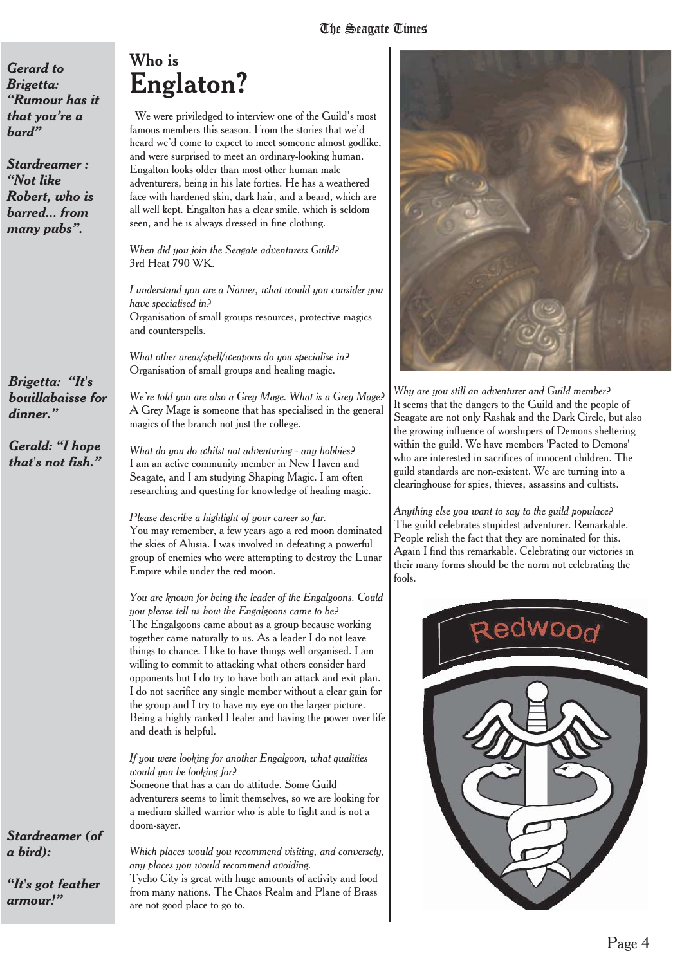*Gerard to Brigetta: "Rumour has it that you're a bard"*

*Stardreamer : "Not like Robert, who is barred... from many pubs".*

*Brigetta: "It's bouillabaisse for dinner."*

*Gerald: "I hope that's not fish."*

#### *Stardreamer (of a bird):*

*"It's got feather armour!"*

# Who is **Englaton?**

We were priviledged to interview one of the Guild's most famous members this season. From the stories that we'd heard we'd come to expect to meet someone almost godlike, and were surprised to meet an ordinary-looking human. Engalton looks older than most other human male adventurers, being in his late forties. He has a weathered face with hardened skin, dark hair, and a beard, which are all well kept. Engalton has a clear smile, which is seldom seen, and he is always dressed in fine clothing.

*When did you join the Seagate adventurers Guild?* 3rd Heat 790 WK.

*I understand you are a Namer, what would you consider you have specialised in?* Organisation of small groups resources, protective magics and counterspells.

*What other areas/spell/weapons do you specialise in?* Organisation of small groups and healing magic.

*We're told you are also a Grey Mage. What is a Grey Mage?* A Grey Mage is someone that has specialised in the general magics of the branch not just the college.

*What do you do whilst not adventuring - any hobbies?* I am an active community member in New Haven and Seagate, and I am studying Shaping Magic. I am often researching and questing for knowledge of healing magic.

*Please describe a highlight of your career so far.* You may remember, a few years ago a red moon dominated the skies of Alusia. I was involved in defeating a powerful group of enemies who were attempting to destroy the Lunar Empire while under the red moon.

*You are known for being the leader of the Engalgoons. Could you please tell us how the Engalgoons came to be?* The Engalgoons came about as a group because working together came naturally to us. As a leader I do not leave things to chance. I like to have things well organised. I am willing to commit to attacking what others consider hard opponents but I do try to have both an attack and exit plan. I do not sacrifice any single member without a clear gain for the group and I try to have my eye on the larger picture. Being a highly ranked Healer and having the power over life and death is helpful.

#### *If you were looking for another Engalgoon, what qualities would you be looking for?*

Someone that has a can do attitude. Some Guild adventurers seems to limit themselves, so we are looking for a medium skilled warrior who is able to fight and is not a doom-sayer.

*Which places would you recommend visiting, and conversely, any places you would recommend avoiding.*

Tycho City is great with huge amounts of activity and food from many nations. The Chaos Realm and Plane of Brass are not good place to go to.



*Why are you still an adventurer and Guild member?* It seems that the dangers to the Guild and the people of Seagate are not only Rashak and the Dark Circle, but also the growing influence of worshipers of Demons sheltering within the guild. We have members 'Pacted to Demons' who are interested in sacrifices of innocent children. The guild standards are non-existent. We are turning into a clearinghouse for spies, thieves, assassins and cultists.

*Anything else you want to say to the guild populace?* The guild celebrates stupidest adventurer. Remarkable. People relish the fact that they are nominated for this. Again I find this remarkable. Celebrating our victories in their many forms should be the norm not celebrating the fools.

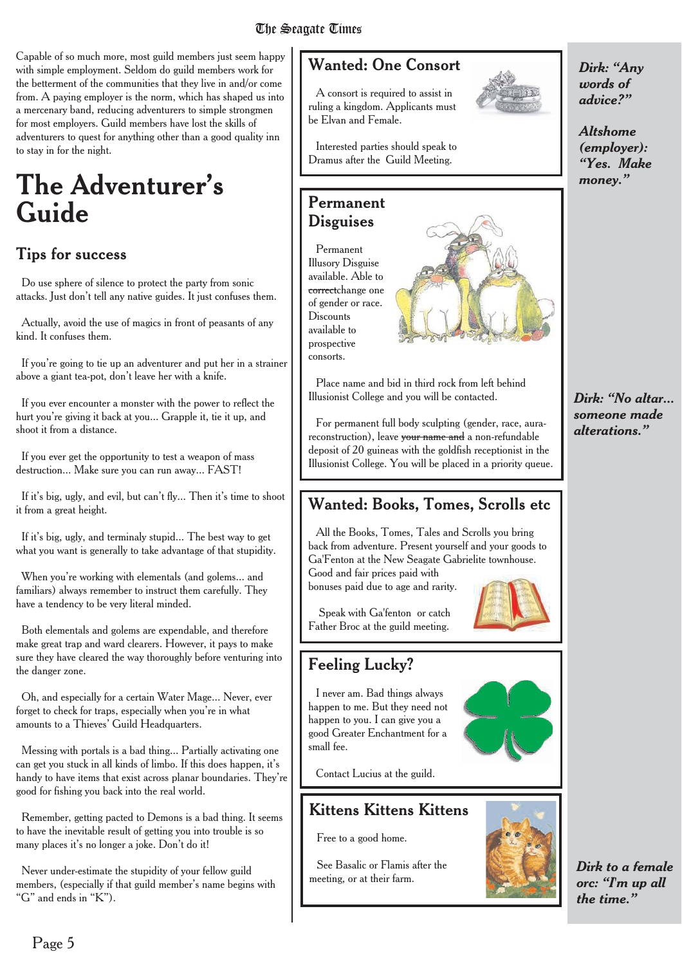Capable of so much more, most guild members just seem happy with simple employment. Seldom do guild members work for the betterment of the communities that they live in and/or come from. A paying employer is the norm, which has shaped us into a mercenary band, reducing adventurers to simple strongmen for most employers. Guild members have lost the skills of adventurers to quest for anything other than a good quality inn to stay in for the night.

# **The Adventurer's Guide**

#### **Tips for success**

Do use sphere of silence to protect the party from sonic attacks. Just don't tell any native guides. It just confuses them.

Actually, avoid the use of magics in front of peasants of any kind. It confuses them.

If you're going to tie up an adventurer and put her in a strainer above a giant tea-pot, don't leave her with a knife.

If you ever encounter a monster with the power to reflect the hurt you're giving it back at you... Grapple it, tie it up, and shoot it from a distance.

If you ever get the opportunity to test a weapon of mass destruction... Make sure you can run away... FAST!

If it's big, ugly, and evil, but can't fly... Then it's time to shoot it from a great height.

If it's big, ugly, and terminaly stupid... The best way to get what you want is generally to take advantage of that stupidity.

When you're working with elementals (and golems... and familiars) always remember to instruct them carefully. They have a tendency to be very literal minded.

Both elementals and golems are expendable, and therefore make great trap and ward clearers. However, it pays to make sure they have cleared the way thoroughly before venturing into the danger zone.

Oh, and especially for a certain Water Mage... Never, ever forget to check for traps, especially when you're in what amounts to a Thieves' Guild Headquarters.

Messing with portals is a bad thing... Partially activating one can get you stuck in all kinds of limbo. If this does happen, it's handy to have items that exist across planar boundaries. They're good for fishing you back into the real world.

Remember, getting pacted to Demons is a bad thing. It seems to have the inevitable result of getting you into trouble is so many places it's no longer a joke. Don't do it!

Never under-estimate the stupidity of your fellow guild members, (especially if that guild member's name begins with "G" and ends in "K").

## Wanted: One Consort

A consort is required to assist in ruling a kingdom. Applicants must be Elvan and Female.



Interested parties should speak to Dramus after the Guild Meeting.

#### Permanent **Disguises**

Permanent Illusory Disguise available. Able to correctchange one of gender or race. **Discounts** available to prospective consorts.



Place name and bid in third rock from left behind Illusionist College and you will be contacted.

For permanent full body sculpting (gender, race, aurareconstruction), leave your name and a non-refundable deposit of 20 guineas with the goldfish receptionist in the Illusionist College. You will be placed in a priority queue.

## Wanted: Books, Tomes, Scrolls etc

All the Books, Tomes, Tales and Scrolls you bring back from adventure. Present yourself and your goods to Ga'Fenton at the New Seagate Gabrielite townhouse. Good and fair prices paid with

bonuses paid due to age and rarity.



#### Feeling Lucky?

I never am. Bad things always happen to me. But they need not happen to you. I can give you a good Greater Enchantment for a small fee.

Contact Lucius at the guild.

#### Kittens Kittens Kittens

Free to a good home.

See Basalic or Flamis after the meeting, or at their farm.



*Altshome (employer): "Yes. Make money."*

*Dirk: "No altar... someone made alterations."*



*Dirk to a female orc: "I'm up all the time."*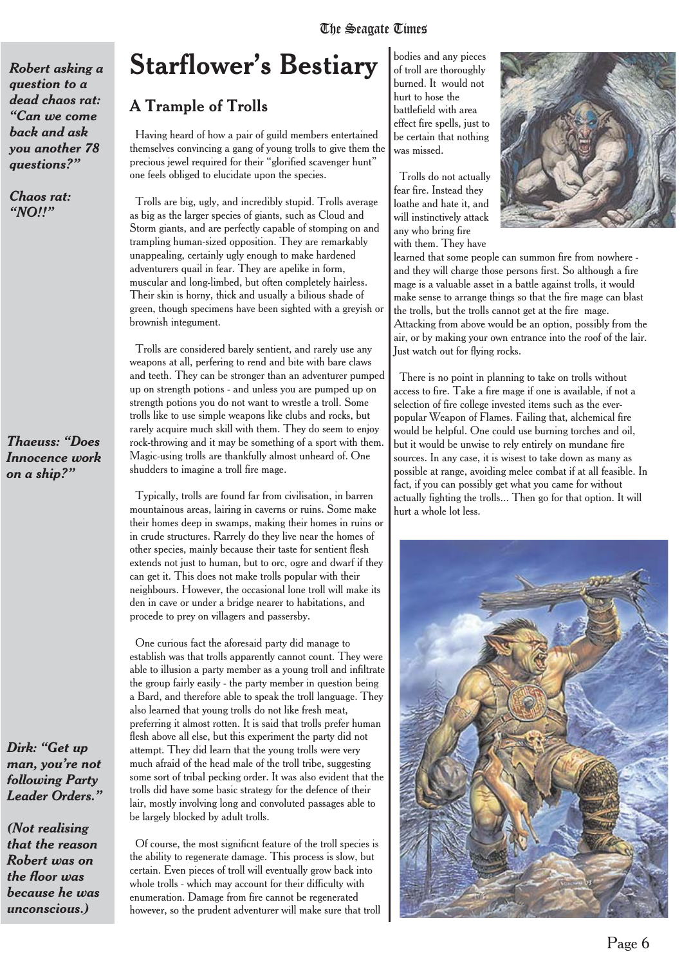*Robert asking a question to a dead chaos rat: "Can we come back and ask you another 78 questions?"*

*Chaos rat: "NO!!"*

#### *Thaeuss: "Does Innocence work on a ship?"*

*Dirk: "Get up man, you're not following Party Leader Orders."*

*(Not realising that the reason Robert was on the floor was because he was unconscious.)*

# **Starflower's Bestiary**

#### A Trample of Trolls

Having heard of how a pair of guild members entertained themselves convincing a gang of young trolls to give them the precious jewel required for their "glorified scavenger hunt" one feels obliged to elucidate upon the species.

Trolls are big, ugly, and incredibly stupid. Trolls average as big as the larger species of giants, such as Cloud and Storm giants, and are perfectly capable of stomping on and trampling human-sized opposition. They are remarkably unappealing, certainly ugly enough to make hardened adventurers quail in fear. They are apelike in form, muscular and long-limbed, but often completely hairless. Their skin is horny, thick and usually a bilious shade of green, though specimens have been sighted with a greyish or brownish integument.

Trolls are considered barely sentient, and rarely use any weapons at all, perfering to rend and bite with bare claws and teeth. They can be stronger than an adventurer pumped up on strength potions - and unless you are pumped up on strength potions you do not want to wrestle a troll. Some trolls like to use simple weapons like clubs and rocks, but rarely acquire much skill with them. They do seem to enjoy rock-throwing and it may be something of a sport with them. Magic-using trolls are thankfully almost unheard of. One shudders to imagine a troll fire mage.

Typically, trolls are found far from civilisation, in barren mountainous areas, lairing in caverns or ruins. Some make their homes deep in swamps, making their homes in ruins or in crude structures. Rarrely do they live near the homes of other species, mainly because their taste for sentient flesh extends not just to human, but to orc, ogre and dwarf if they can get it. This does not make trolls popular with their neighbours. However, the occasional lone troll will make its den in cave or under a bridge nearer to habitations, and procede to prey on villagers and passersby.

One curious fact the aforesaid party did manage to establish was that trolls apparently cannot count. They were able to illusion a party member as a young troll and infiltrate the group fairly easily - the party member in question being a Bard, and therefore able to speak the troll language. They also learned that young trolls do not like fresh meat, preferring it almost rotten. It is said that trolls prefer human flesh above all else, but this experiment the party did not attempt. They did learn that the young trolls were very much afraid of the head male of the troll tribe, suggesting some sort of tribal pecking order. It was also evident that the trolls did have some basic strategy for the defence of their lair, mostly involving long and convoluted passages able to be largely blocked by adult trolls.

Of course, the most significnt feature of the troll species is the ability to regenerate damage. This process is slow, but certain. Even pieces of troll will eventually grow back into whole trolls - which may account for their difficulty with enumeration. Damage from fire cannot be regenerated however, so the prudent adventurer will make sure that troll

bodies and any pieces of troll are thoroughly burned. It would not hurt to hose the battlefield with area effect fire spells, just to be certain that nothing was missed.

Trolls do not actually fear fire. Instead they loathe and hate it, and will instinctively attack any who bring fire with them. They have



learned that some people can summon fire from nowhere and they will charge those persons first. So although a fire mage is a valuable asset in a battle against trolls, it would make sense to arrange things so that the fire mage can blast the trolls, but the trolls cannot get at the fire mage. Attacking from above would be an option, possibly from the air, or by making your own entrance into the roof of the lair. Just watch out for flying rocks.

There is no point in planning to take on trolls without access to fire. Take a fire mage if one is available, if not a selection of fire college invested items such as the everpopular Weapon of Flames. Failing that, alchemical fire would be helpful. One could use burning torches and oil, but it would be unwise to rely entirely on mundane fire sources. In any case, it is wisest to take down as many as possible at range, avoiding melee combat if at all feasible. In fact, if you can possibly get what you came for without actually fighting the trolls... Then go for that option. It will hurt a whole lot less.

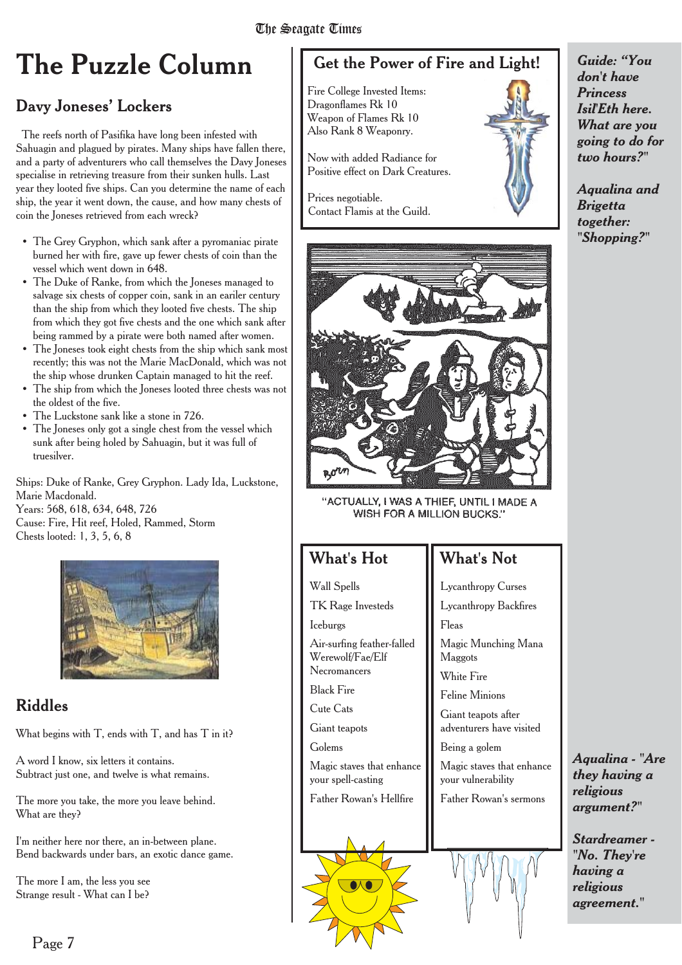# **The Puzzle Column**

## Davy Joneses' Lockers

The reefs north of Pasifika have long been infested with Sahuagin and plagued by pirates. Many ships have fallen there, and a party of adventurers who call themselves the Davy Joneses specialise in retrieving treasure from their sunken hulls. Last year they looted five ships. Can you determine the name of each ship, the year it went down, the cause, and how many chests of coin the Joneses retrieved from each wreck?

- The Grey Gryphon, which sank after a pyromaniac pirate burned her with fire, gave up fewer chests of coin than the vessel which went down in 648.
- The Duke of Ranke, from which the Joneses managed to salvage six chests of copper coin, sank in an eariler century than the ship from which they looted five chests. The ship from which they got five chests and the one which sank after being rammed by a pirate were both named after women.
- The Joneses took eight chests from the ship which sank most recently; this was not the Marie MacDonald, which was not the ship whose drunken Captain managed to hit the reef.
- The ship from which the Joneses looted three chests was not the oldest of the five.
- The Luckstone sank like a stone in 726.
- The Joneses only got a single chest from the vessel which sunk after being holed by Sahuagin, but it was full of truesilver.

Ships: Duke of Ranke, Grey Gryphon. Lady Ida, Luckstone, Marie Macdonald. Years: 568, 618, 634, 648, 726 Cause: Fire, Hit reef, Holed, Rammed, Storm Chests looted: 1, 3, 5, 6, 8



## Riddles

What begins with T, ends with T, and has T in it?

A word I know, six letters it contains. Subtract just one, and twelve is what remains.

The more you take, the more you leave behind. What are they?

I'm neither here nor there, an in-between plane. Bend backwards under bars, an exotic dance game.

The more I am, the less you see Strange result - What can I be?

# Get the Power of Fire and Light!

Fire College Invested Items: Dragonflames Rk 10 Weapon of Flames Rk 10 Also Rank 8 Weaponry.

Now with added Radiance for Positive effect on Dark Creatures.

Prices negotiable. Contact Flamis at the Guild.



"ACTUALLY, I WAS A THIEF, UNTIL I MADE A WISH FOR A MILLION BUCKS."

#### What's Hot

Wall Spells

TK Rage Investeds

Iceburgs

Air-surfing feather-falled Werewolf/Fae/Elf Necromancers

Black Fire

Cute Cats

Giant teapots

Golems

Magic staves that enhance your spell-casting

Father Rowan's Hellfire



*Guide: "You don't have Princess Isil'Eth here. What are you going to do for two hours?"*

*Aqualina and Brigetta together: "Shopping?"*

#### What's Not

Lycanthropy Curses Lycanthropy Backfires Fleas

Magic Munching Mana Maggots

White Fire

Feline Minions

Giant teapots after adventurers have visited

Being a golem

Magic staves that enhance your vulnerability

Father Rowan's sermons



*Aqualina - "Are they having a religious argument?"*

*Stardreamer - "No. They're having a religious agreement."*